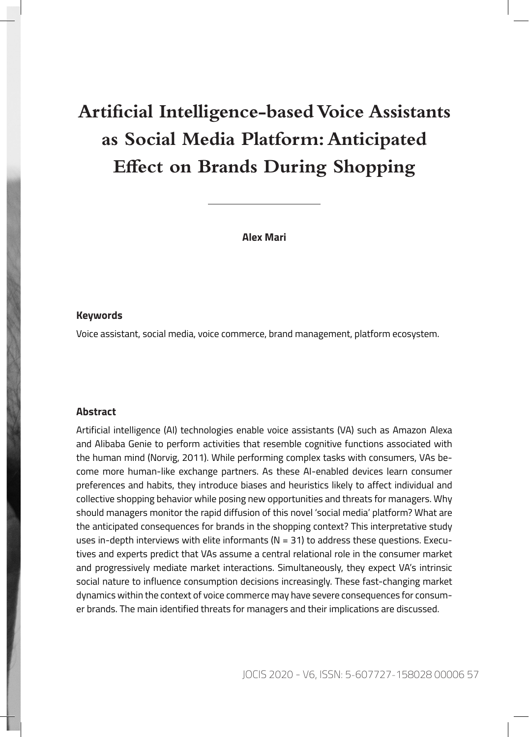# **Artificial Intelligence-based Voice Assistants as Social Media Platform: Anticipated Effect on Brands During Shopping**

**Alex Mari**

#### **Keywords**

Voice assistant, social media, voice commerce, brand management, platform ecosystem.

#### **Abstract**

Artificial intelligence (AI) technologies enable voice assistants (VA) such as Amazon Alexa and Alibaba Genie to perform activities that resemble cognitive functions associated with the human mind (Norvig, 2011). While performing complex tasks with consumers, VAs become more human-like exchange partners. As these AI-enabled devices learn consumer preferences and habits, they introduce biases and heuristics likely to affect individual and collective shopping behavior while posing new opportunities and threats for managers. Why should managers monitor the rapid diffusion of this novel 'social media' platform? What are the anticipated consequences for brands in the shopping context? This interpretative study uses in-depth interviews with elite informants ( $N = 31$ ) to address these questions. Executives and experts predict that VAs assume a central relational role in the consumer market and progressively mediate market interactions. Simultaneously, they expect VA's intrinsic social nature to influence consumption decisions increasingly. These fast-changing market dynamics within the context of voice commerce may have severe consequences for consumer brands. The main identified threats for managers and their implications are discussed.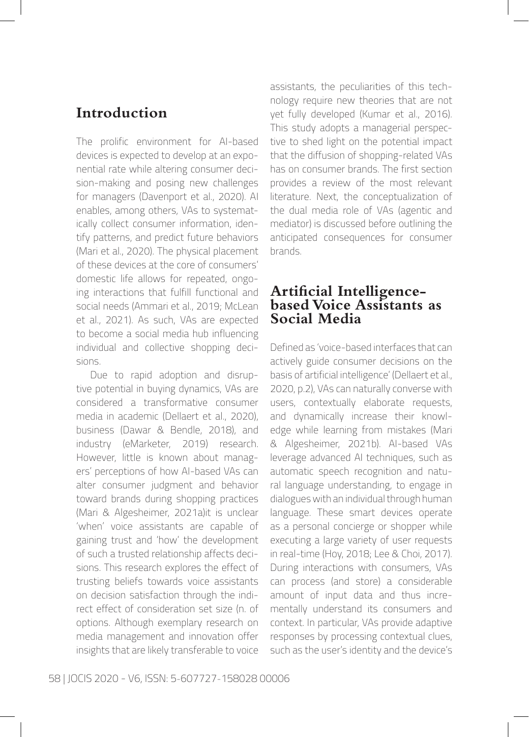### **Introduction**

The prolific environment for AI-based devices is expected to develop at an exponential rate while altering consumer decision-making and posing new challenges for managers (Davenport et al., 2020). AI enables, among others, VAs to systematically collect consumer information, identify patterns, and predict future behaviors (Mari et al., 2020). The physical placement of these devices at the core of consumers' domestic life allows for repeated, ongoing interactions that fulfill functional and social needs (Ammari et al., 2019; McLean et al., 2021). As such, VAs are expected to become a social media hub influencing individual and collective shopping decisions.

Due to rapid adoption and disruptive potential in buying dynamics, VAs are considered a transformative consumer media in academic (Dellaert et al., 2020), business (Dawar & Bendle, 2018), and industry (eMarketer, 2019) research. However, little is known about managers' perceptions of how AI-based VAs can alter consumer judgment and behavior toward brands during shopping practices (Mari & Algesheimer, 2021a)it is unclear 'when' voice assistants are capable of gaining trust and 'how' the development of such a trusted relationship affects decisions. This research explores the effect of trusting beliefs towards voice assistants on decision satisfaction through the indirect effect of consideration set size (n. of options. Although exemplary research on media management and innovation offer insights that are likely transferable to voice assistants, the peculiarities of this technology require new theories that are not yet fully developed (Kumar et al., 2016). This study adopts a managerial perspective to shed light on the potential impact that the diffusion of shopping-related VAs has on consumer brands. The first section provides a review of the most relevant literature. Next, the conceptualization of the dual media role of VAs (agentic and mediator) is discussed before outlining the anticipated consequences for consumer brands.

#### **Artificial Intelligencebased Voice Assistants as Social Media**

Defined as 'voice-based interfaces that can actively guide consumer decisions on the basis of artificial intelligence' (Dellaert et al., 2020, p.2), VAs can naturally converse with users, contextually elaborate requests, and dynamically increase their knowledge while learning from mistakes (Mari & Algesheimer, 2021b). AI-based VAs leverage advanced AI techniques, such as automatic speech recognition and natural language understanding, to engage in dialogues with an individual through human language. These smart devices operate as a personal concierge or shopper while executing a large variety of user requests in real-time (Hoy, 2018; Lee & Choi, 2017). During interactions with consumers, VAs can process (and store) a considerable amount of input data and thus incrementally understand its consumers and context. In particular, VAs provide adaptive responses by processing contextual clues, such as the user's identity and the device's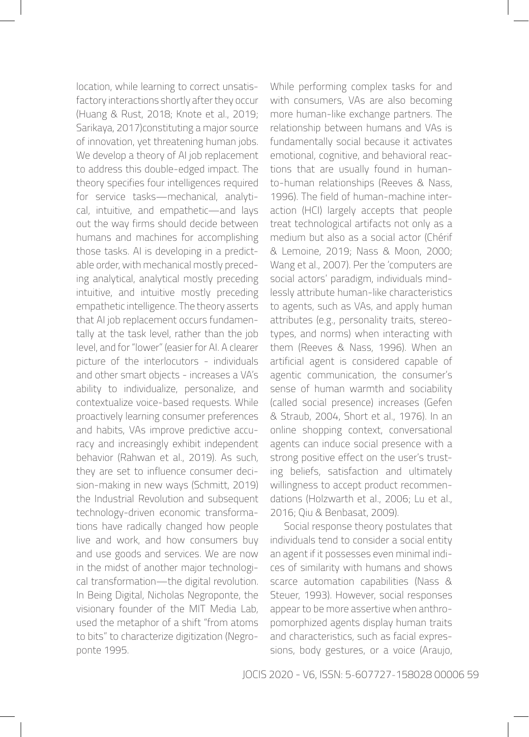location, while learning to correct unsatisfactory interactions shortly after they occur (Huang & Rust, 2018; Knote et al., 2019; Sarikaya, 2017)constituting a major source of innovation, yet threatening human jobs. We develop a theory of AI job replacement to address this double-edged impact. The theory specifies four intelligences required for service tasks—mechanical, analytical, intuitive, and empathetic—and lays out the way firms should decide between humans and machines for accomplishing those tasks. AI is developing in a predictable order, with mechanical mostly preceding analytical, analytical mostly preceding intuitive, and intuitive mostly preceding empathetic intelligence. The theory asserts that AI job replacement occurs fundamentally at the task level, rather than the job level, and for "lower" (easier for AI. A clearer picture of the interlocutors - individuals and other smart objects - increases a VA's ability to individualize, personalize, and contextualize voice-based requests. While proactively learning consumer preferences and habits, VAs improve predictive accuracy and increasingly exhibit independent behavior (Rahwan et al., 2019). As such, they are set to influence consumer decision-making in new ways (Schmitt, 2019) the Industrial Revolution and subsequent technology-driven economic transformations have radically changed how people live and work, and how consumers buy and use goods and services. We are now in the midst of another major technological transformation—the digital revolution. In Being Digital, Nicholas Negroponte, the visionary founder of the MIT Media Lab, used the metaphor of a shift "from atoms to bits" to characterize digitization (Negroponte 1995.

While performing complex tasks for and with consumers, VAs are also becoming more human-like exchange partners. The relationship between humans and VAs is fundamentally social because it activates emotional, cognitive, and behavioral reactions that are usually found in humanto-human relationships (Reeves & Nass, 1996). The field of human-machine interaction (HCI) largely accepts that people treat technological artifacts not only as a medium but also as a social actor (Chérif & Lemoine, 2019; Nass & Moon, 2000; Wang et al., 2007). Per the 'computers are social actors' paradigm, individuals mindlessly attribute human-like characteristics to agents, such as VAs, and apply human attributes (e.g., personality traits, stereotypes, and norms) when interacting with them (Reeves & Nass, 1996). When an artificial agent is considered capable of agentic communication, the consumer's sense of human warmth and sociability (called social presence) increases (Gefen & Straub, 2004, Short et al., 1976). In an online shopping context, conversational agents can induce social presence with a strong positive effect on the user's trusting beliefs, satisfaction and ultimately willingness to accept product recommendations (Holzwarth et al., 2006; Lu et al., 2016; Qiu & Benbasat, 2009).

Social response theory postulates that individuals tend to consider a social entity an agent if it possesses even minimal indices of similarity with humans and shows scarce automation capabilities (Nass & Steuer, 1993). However, social responses appear to be more assertive when anthropomorphized agents display human traits and characteristics, such as facial expressions, body gestures, or a voice (Araujo,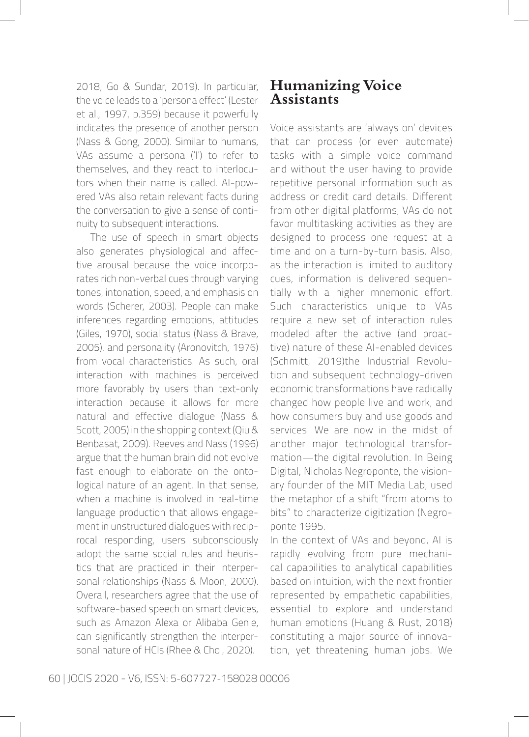2018; Go & Sundar, 2019). In particular, the voice leads to a 'persona effect' (Lester et al., 1997, p.359) because it powerfully indicates the presence of another person (Nass & Gong, 2000). Similar to humans, VAs assume a persona ('I') to refer to themselves, and they react to interlocutors when their name is called. AI-powered VAs also retain relevant facts during the conversation to give a sense of continuity to subsequent interactions.

The use of speech in smart objects also generates physiological and affective arousal because the voice incorporates rich non-verbal cues through varying tones, intonation, speed, and emphasis on words (Scherer, 2003). People can make inferences regarding emotions, attitudes (Giles, 1970), social status (Nass & Brave, 2005), and personality (Aronovitch, 1976) from vocal characteristics. As such, oral interaction with machines is perceived more favorably by users than text-only interaction because it allows for more natural and effective dialogue (Nass & Scott, 2005) in the shopping context (Qiu & Benbasat, 2009). Reeves and Nass (1996) argue that the human brain did not evolve fast enough to elaborate on the ontological nature of an agent. In that sense, when a machine is involved in real-time language production that allows engagement in unstructured dialogues with reciprocal responding, users subconsciously adopt the same social rules and heuristics that are practiced in their interpersonal relationships (Nass & Moon, 2000). Overall, researchers agree that the use of software-based speech on smart devices, such as Amazon Alexa or Alibaba Genie, can significantly strengthen the interpersonal nature of HCIs (Rhee & Choi, 2020).

#### **Humanizing Voice Assistants**

Voice assistants are 'always on' devices that can process (or even automate) tasks with a simple voice command and without the user having to provide repetitive personal information such as address or credit card details. Different from other digital platforms, VAs do not favor multitasking activities as they are designed to process one request at a time and on a turn-by-turn basis. Also, as the interaction is limited to auditory cues, information is delivered sequentially with a higher mnemonic effort. Such characteristics unique to VAs require a new set of interaction rules modeled after the active (and proactive) nature of these AI-enabled devices (Schmitt, 2019)the Industrial Revolution and subsequent technology-driven economic transformations have radically changed how people live and work, and how consumers buy and use goods and services. We are now in the midst of another major technological transformation—the digital revolution. In Being Digital, Nicholas Negroponte, the visionary founder of the MIT Media Lab, used the metaphor of a shift "from atoms to bits" to characterize digitization (Negroponte 1995.

In the context of VAs and beyond, AI is rapidly evolving from pure mechanical capabilities to analytical capabilities based on intuition, with the next frontier represented by empathetic capabilities, essential to explore and understand human emotions (Huang & Rust, 2018) constituting a major source of innovation, yet threatening human jobs. We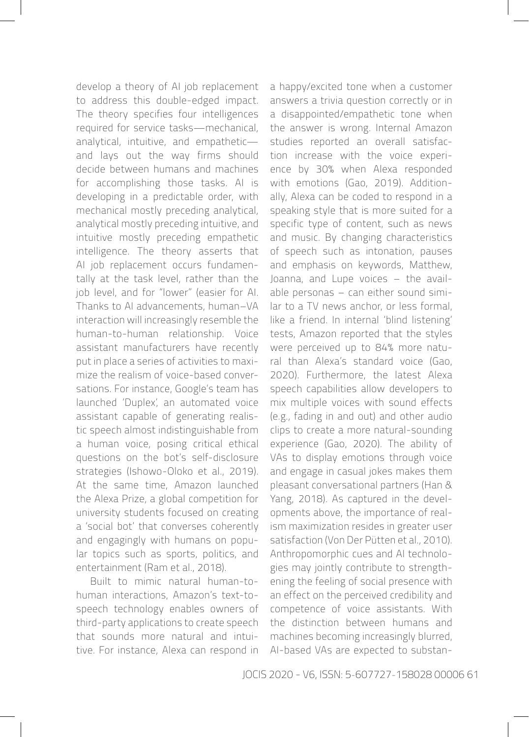develop a theory of AI job replacement to address this double-edged impact. The theory specifies four intelligences required for service tasks—mechanical, analytical, intuitive, and empathetic and lays out the way firms should decide between humans and machines for accomplishing those tasks. AI is developing in a predictable order, with mechanical mostly preceding analytical, analytical mostly preceding intuitive, and intuitive mostly preceding empathetic intelligence. The theory asserts that AI job replacement occurs fundamentally at the task level, rather than the iob level, and for "lower" (easier for AI. Thanks to AI advancements, human–VA interaction will increasingly resemble the human-to-human relationship. Voice assistant manufacturers have recently put in place a series of activities to maximize the realism of voice-based conversations. For instance, Google's team has launched 'Duplex', an automated voice assistant capable of generating realistic speech almost indistinguishable from a human voice, posing critical ethical questions on the bot's self-disclosure strategies (Ishowo-Oloko et al., 2019). At the same time, Amazon launched the Alexa Prize, a global competition for university students focused on creating a 'social bot' that converses coherently and engagingly with humans on popular topics such as sports, politics, and entertainment (Ram et al., 2018).

Built to mimic natural human-tohuman interactions, Amazon's text-tospeech technology enables owners of third-party applications to create speech that sounds more natural and intuitive. For instance, Alexa can respond in a happy/excited tone when a customer answers a trivia question correctly or in a disappointed/empathetic tone when the answer is wrong. Internal Amazon studies reported an overall satisfaction increase with the voice experience by 30% when Alexa responded with emotions (Gao, 2019). Additionally, Alexa can be coded to respond in a speaking style that is more suited for a specific type of content, such as news and music. By changing characteristics of speech such as intonation, pauses and emphasis on keywords, Matthew, Joanna, and Lupe voices – the available personas – can either sound similar to a TV news anchor, or less formal, like a friend. In internal 'blind listening' tests, Amazon reported that the styles were perceived up to 84% more natural than Alexa's standard voice (Gao, 2020). Furthermore, the latest Alexa speech capabilities allow developers to mix multiple voices with sound effects (e.g., fading in and out) and other audio clips to create a more natural-sounding experience (Gao, 2020). The ability of VAs to display emotions through voice and engage in casual jokes makes them pleasant conversational partners (Han & Yang, 2018). As captured in the developments above, the importance of realism maximization resides in greater user satisfaction (Von Der Pütten et al., 2010). Anthropomorphic cues and AI technologies may jointly contribute to strengthening the feeling of social presence with an effect on the perceived credibility and competence of voice assistants. With the distinction between humans and machines becoming increasingly blurred, AI-based VAs are expected to substan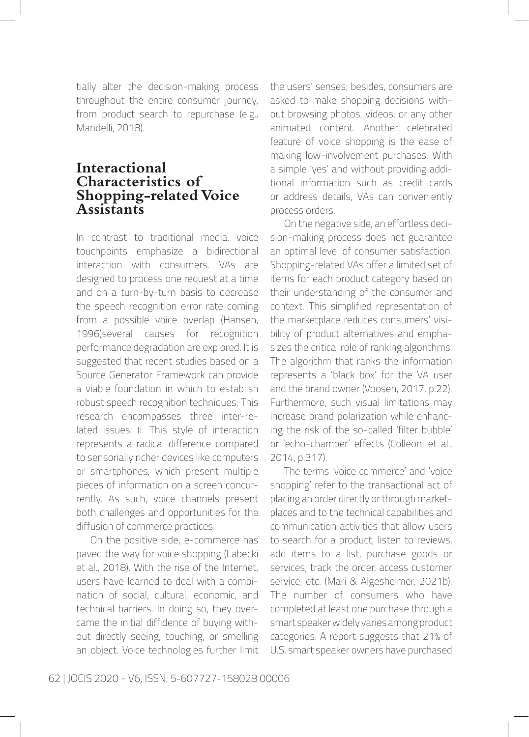tially alter the decision-making process throughout the entire consumer journey, from product search to repurchase (e.g., Mandelli, 2018).

#### **Interactional Characteristics of Shopping-related Voice Assistants**

In contrast to traditional media, voice touchpoints emphasize a bidirectional interaction with consumers. VAs are designed to process one request at a time and on a turn-by-turn basis to decrease the speech recognition error rate coming from a possible voice overlap (Hansen, 1996)several causes for recognition performance degradation are explored. It is suggested that recent studies based on a Source Generator Framework can provide a viable foundation in which to establish robust speech recognition techniques. This research encompasses three inter-related issues: (i. This style of interaction represents a radical difference compared to sensorially richer devices like computers or smartphones, which present multiple pieces of information on a screen concurrently. As such, voice channels present both challenges and opportunities for the diffusion of commerce practices.

On the positive side, e-commerce has paved the way for voice shopping (Labecki et al., 2018). With the rise of the Internet, users have learned to deal with a combination of social, cultural, economic, and technical barriers. In doing so, they overcame the initial diffidence of buying without directly seeing, touching, or smelling an object. Voice technologies further limit the users' senses; besides, consumers are asked to make shopping decisions without browsing photos, videos, or any other animated content. Another celebrated feature of voice shopping is the ease of making low-involvement purchases. With a simple 'yes' and without providing additional information such as credit cards or address details, VAs can conveniently process orders.

On the negative side, an effortless decision-making process does not guarantee an optimal level of consumer satisfaction. Shopping-related VAs offer a limited set of items for each product category based on their understanding of the consumer and context. This simplified representation of the marketplace reduces consumers' visibility of product alternatives and emphasizes the critical role of ranking algorithms. The algorithm that ranks the information represents a 'black box' for the VA user and the brand owner (Voosen, 2017, p.22). Furthermore, such visual limitations may increase brand polarization while enhancing the risk of the so-called 'filter bubble' or 'echo-chamber' effects (Colleoni et al., 2014, p.317).

The terms 'voice commerce' and 'voice shopping' refer to the transactional act of placing an order directly or through marketplaces and to the technical capabilities and communication activities that allow users to search for a product, listen to reviews, add items to a list, purchase goods or services, track the order, access customer service, etc. (Mari & Algesheimer, 2021b). The number of consumers who have completed at least one purchase through a smart speaker widely varies among product categories. A report suggests that 21% of U.S. smart speaker owners have purchased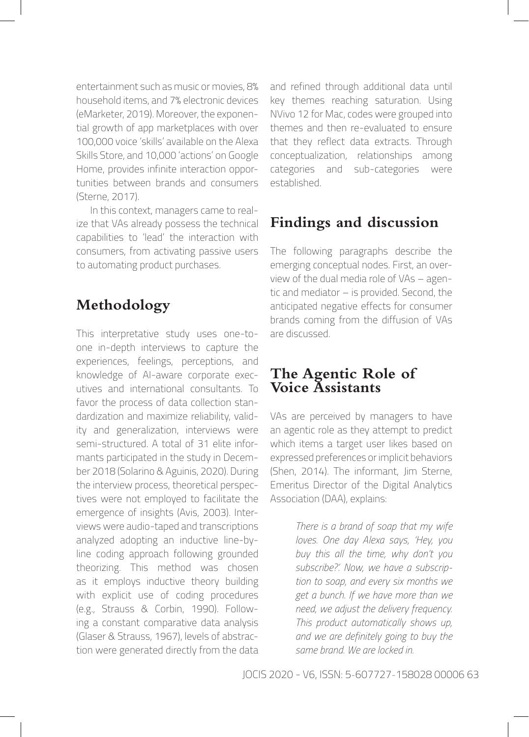entertainment such as music or movies, 8% household items, and 7% electronic devices (eMarketer, 2019). Moreover, the exponential growth of app marketplaces with over 100,000 voice 'skills' available on the Alexa Skills Store, and 10,000 'actions' on Google Home, provides infinite interaction opportunities between brands and consumers (Sterne, 2017).

In this context, managers came to realize that VAs already possess the technical capabilities to 'lead' the interaction with consumers, from activating passive users to automating product purchases.

## **Methodology**

This interpretative study uses one-toone in-depth interviews to capture the experiences, feelings, perceptions, and knowledge of AI-aware corporate executives and international consultants. To favor the process of data collection standardization and maximize reliability, validity and generalization, interviews were semi-structured. A total of 31 elite informants participated in the study in December 2018 (Solarino & Aguinis, 2020). During the interview process, theoretical perspectives were not employed to facilitate the emergence of insights (Avis, 2003). Interviews were audio-taped and transcriptions analyzed adopting an inductive line-byline coding approach following grounded theorizing. This method was chosen as it employs inductive theory building with explicit use of coding procedures (e.g., Strauss & Corbin, 1990). Following a constant comparative data analysis (Glaser & Strauss, 1967), levels of abstraction were generated directly from the data and refined through additional data until key themes reaching saturation. Using NVivo 12 for Mac, codes were grouped into themes and then re-evaluated to ensure that they reflect data extracts. Through conceptualization, relationships among categories and sub-categories were established.

# **Findings and discussion**

The following paragraphs describe the emerging conceptual nodes. First, an overview of the dual media role of VAs – agentic and mediator – is provided. Second, the anticipated negative effects for consumer brands coming from the diffusion of VAs are discussed.

### **The Agentic Role of Voice Assistants**

VAs are perceived by managers to have an agentic role as they attempt to predict which items a target user likes based on expressed preferences or implicit behaviors (Shen, 2014). The informant, Jim Sterne, Emeritus Director of the Digital Analytics Association (DAA), explains:

> *There is a brand of soap that my wife loves. One day Alexa says, 'Hey, you buy this all the time, why don't you subscribe?'. Now, we have a subscription to soap, and every six months we get a bunch. If we have more than we need, we adjust the delivery frequency. This product automatically shows up, and we are definitely going to buy the same brand. We are locked in.*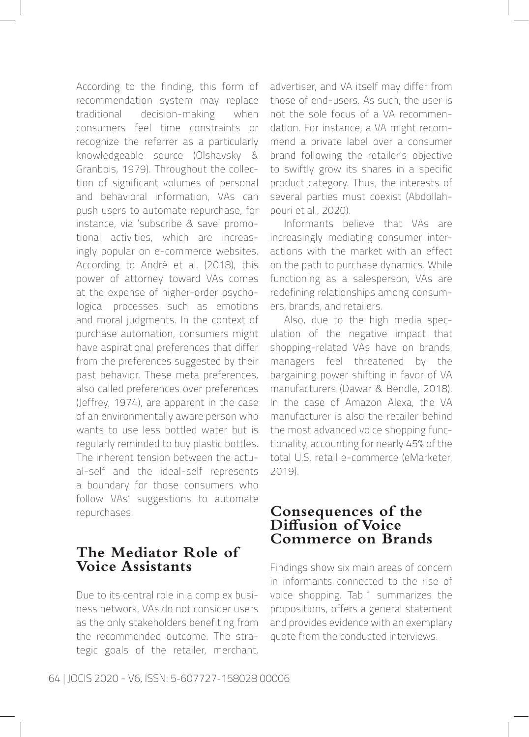According to the finding, this form of recommendation system may replace traditional decision-making when consumers feel time constraints or recognize the referrer as a particularly knowledgeable source (Olshavsky & Granbois, 1979). Throughout the collection of significant volumes of personal and behavioral information, VAs can push users to automate repurchase, for instance, via 'subscribe & save' promotional activities, which are increasingly popular on e-commerce websites. According to André et al. (2018), this power of attorney toward VAs comes at the expense of higher-order psychological processes such as emotions and moral judgments. In the context of purchase automation, consumers might have aspirational preferences that differ from the preferences suggested by their past behavior. These meta preferences, also called preferences over preferences (Jeffrey, 1974), are apparent in the case of an environmentally aware person who wants to use less bottled water but is regularly reminded to buy plastic bottles. The inherent tension between the actual-self and the ideal-self represents a boundary for those consumers who follow VAs' suggestions to automate repurchases.

#### **The Mediator Role of Voice Assistants**

Due to its central role in a complex business network, VAs do not consider users as the only stakeholders benefiting from the recommended outcome. The strategic goals of the retailer, merchant, advertiser, and VA itself may differ from those of end-users. As such, the user is not the sole focus of a VA recommendation. For instance, a VA might recommend a private label over a consumer brand following the retailer's objective to swiftly grow its shares in a specific product category. Thus, the interests of several parties must coexist (Abdollahpouri et al., 2020).

Informants believe that VAs are increasingly mediating consumer interactions with the market with an effect on the path to purchase dynamics. While functioning as a salesperson, VAs are redefining relationships among consumers, brands, and retailers.

Also, due to the high media speculation of the negative impact that shopping-related VAs have on brands, managers feel threatened by the bargaining power shifting in favor of VA manufacturers (Dawar & Bendle, 2018). In the case of Amazon Alexa, the VA manufacturer is also the retailer behind the most advanced voice shopping functionality, accounting for nearly 45% of the total U.S. retail e-commerce (eMarketer, 2019).

#### **Consequences of the Diffusion of Voice Commerce on Brands**

Findings show six main areas of concern in informants connected to the rise of voice shopping. Tab.1 summarizes the propositions, offers a general statement and provides evidence with an exemplary quote from the conducted interviews.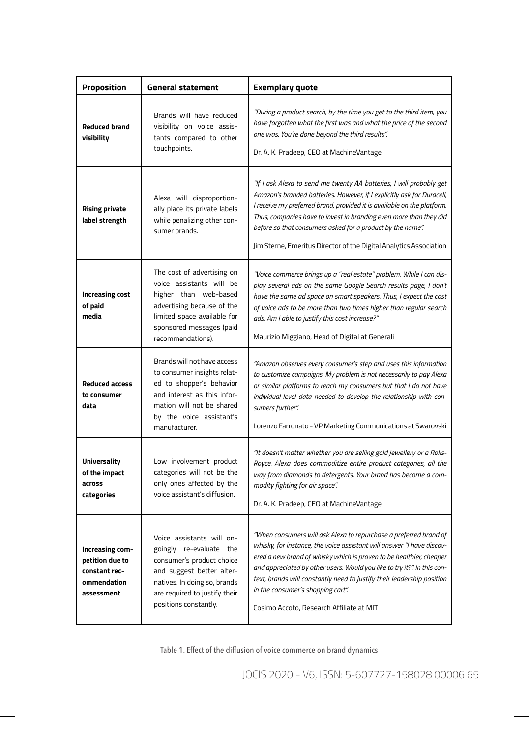| Proposition                                                                      | <b>General statement</b>                                                                                                                                                                                 | <b>Exemplary quote</b>                                                                                                                                                                                                                                                                                                                                                                                                                                   |
|----------------------------------------------------------------------------------|----------------------------------------------------------------------------------------------------------------------------------------------------------------------------------------------------------|----------------------------------------------------------------------------------------------------------------------------------------------------------------------------------------------------------------------------------------------------------------------------------------------------------------------------------------------------------------------------------------------------------------------------------------------------------|
| <b>Reduced brand</b><br>visibility                                               | Brands will have reduced<br>visibility on voice assis-<br>tants compared to other<br>touchpoints.                                                                                                        | "During a product search, by the time you get to the third item, you<br>have forgotten what the first was and what the price of the second<br>one was. You're done beyond the third results".<br>Dr. A. K. Pradeep, CEO at MachineVantage                                                                                                                                                                                                                |
| <b>Rising private</b><br>label strength                                          | Alexa will disproportion-<br>ally place its private labels<br>while penalizing other con-<br>sumer brands.                                                                                               | "If I ask Alexa to send me twenty AA batteries, I will probably get<br>Amazon's branded batteries. However, if I explicitly ask for Duracell,<br>I receive my preferred brand, provided it is available on the platform.<br>Thus, companies have to invest in branding even more than they did<br>before so that consumers asked for a product by the name".<br>Jim Sterne, Emeritus Director of the Digital Analytics Association                       |
| <b>Increasing cost</b><br>of paid<br>media                                       | The cost of advertising on<br>voice assistants will be<br>higher than web-based<br>advertising because of the<br>limited space available for<br>sponsored messages (paid<br>recommendations).            | "Voice commerce brings up a "real estate" problem. While I can dis-<br>play several ads on the same Google Search results page, I don't<br>have the same ad space on smart speakers. Thus, I expect the cost<br>of voice ads to be more than two times higher than regular search<br>ads. Am I able to justify this cost increase?"<br>Maurizio Miggiano, Head of Digital at Generali                                                                    |
| <b>Reduced access</b><br>to consumer<br>data                                     | Brands will not have access<br>to consumer insights relat-<br>ed to shopper's behavior<br>and interest as this infor-<br>mation will not be shared<br>by the voice assistant's<br>manufacturer.          | "Amazon observes every consumer's step and uses this information<br>to customize campaigns. My problem is not necessarily to pay Alexa<br>or similar platforms to reach my consumers but that I do not have<br>individual-level data needed to develop the relationship with con-<br>sumers further".<br>Lorenzo Farronato - VP Marketing Communications at Swarovski                                                                                    |
| <b>Universality</b><br>of the impact<br>across<br>categories                     | Low involvement product<br>categories will not be the<br>only ones affected by the<br>voice assistant's diffusion.                                                                                       | "It doesn't matter whether you are selling gold jewellery or a Rolls-<br>Royce. Alexa does commoditize entire product categories, all the<br>way from diamonds to detergents. Your brand has become a com-<br>modity fighting for air space".<br>Dr. A. K. Pradeep, CEO at MachineVantage                                                                                                                                                                |
| Increasing com-<br>petition due to<br>constant rec-<br>ommendation<br>assessment | Voice assistants will on-<br>goingly re-evaluate the<br>consumer's product choice<br>and suggest better alter-<br>natives. In doing so, brands<br>are required to justify their<br>positions constantly. | "When consumers will ask Alexa to repurchase a preferred brand of<br>whisky, for instance, the voice assistant will answer "I have discov-<br>ered a new brand of whisky which is proven to be healthier, cheaper<br>and appreciated by other users. Would you like to try it?". In this con-<br>text, brands will constantly need to justify their leadership position<br>in the consumer's shopping cart".<br>Cosimo Accoto, Research Affiliate at MIT |

Table 1. Effect of the diffusion of voice commerce on brand dynamics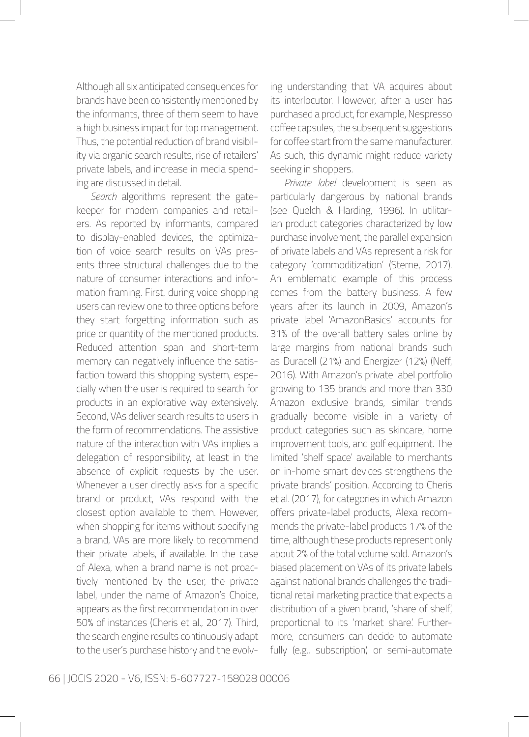Although all six anticipated consequences for brands have been consistently mentioned by the informants, three of them seem to have a high business impact for top management. Thus, the potential reduction of brand visibility via organic search results, rise of retailers' private labels, and increase in media spending are discussed in detail.

*Search* algorithms represent the gatekeeper for modern companies and retailers. As reported by informants, compared to display-enabled devices, the optimization of voice search results on VAs presents three structural challenges due to the nature of consumer interactions and information framing. First, during voice shopping users can review one to three options before they start forgetting information such as price or quantity of the mentioned products. Reduced attention span and short-term memory can negatively influence the satisfaction toward this shopping system, especially when the user is required to search for products in an explorative way extensively. Second, VAs deliver search results to users in the form of recommendations. The assistive nature of the interaction with VAs implies a delegation of responsibility, at least in the absence of explicit requests by the user. Whenever a user directly asks for a specific brand or product, VAs respond with the closest option available to them. However, when shopping for items without specifying a brand, VAs are more likely to recommend their private labels, if available. In the case of Alexa, when a brand name is not proactively mentioned by the user, the private label, under the name of Amazon's Choice, appears as the first recommendation in over 50% of instances (Cheris et al., 2017). Third, the search engine results continuously adapt to the user's purchase history and the evolving understanding that VA acquires about its interlocutor. However, after a user has purchased a product, for example, Nespresso coffee capsules, the subsequent suggestions for coffee start from the same manufacturer. As such, this dynamic might reduce variety seeking in shoppers.

*Private label* development is seen as particularly dangerous by national brands (see Quelch & Harding, 1996). In utilitarian product categories characterized by low purchase involvement, the parallel expansion of private labels and VAs represent a risk for category 'commoditization' (Sterne, 2017). An emblematic example of this process comes from the battery business. A few years after its launch in 2009, Amazon's private label 'AmazonBasics' accounts for 31% of the overall battery sales online by large margins from national brands such as Duracell (21%) and Energizer (12%) (Neff, 2016). With Amazon's private label portfolio growing to 135 brands and more than 330 Amazon exclusive brands, similar trends gradually become visible in a variety of product categories such as skincare, home improvement tools, and golf equipment. The limited 'shelf space' available to merchants on in-home smart devices strengthens the private brands' position. According to Cheris et al. (2017), for categories in which Amazon offers private-label products, Alexa recommends the private-label products 17% of the time, although these products represent only about 2% of the total volume sold. Amazon's biased placement on VAs of its private labels against national brands challenges the traditional retail marketing practice that expects a distribution of a given brand, 'share of shelf', proportional to its 'market share.' Furthermore, consumers can decide to automate fully (e.g., subscription) or semi-automate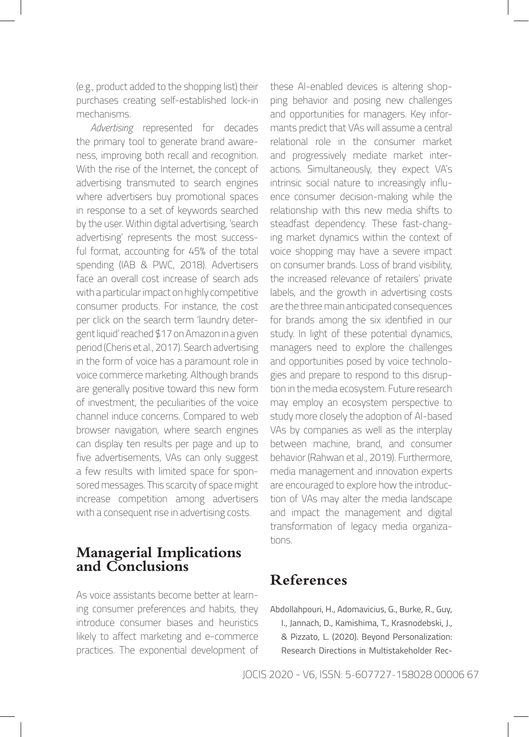(e.g., product added to the shopping list) their purchases creating self-established lock-in mechanisms.

*Advertising* represented for decades the primary tool to generate brand awareness, improving both recall and recognition. With the rise of the Internet, the concept of advertising transmuted to search engines where advertisers buy promotional spaces in response to a set of keywords searched by the user. Within digital advertising, 'search advertising' represents the most successful format, accounting for 45% of the total spending (IAB & PWC, 2018). Advertisers face an overall cost increase of search ads with a particular impact on highly competitive consumer products. For instance, the cost per click on the search term 'laundry detergent liquid' reached \$17 on Amazon in a given period (Cheris et al., 2017). Search advertising in the form of voice has a paramount role in voice commerce marketing. Although brands are generally positive toward this new form of investment, the peculiarities of the voice channel induce concerns. Compared to web browser navigation, where search engines can display ten results per page and up to five advertisements, VAs can only suggest a few results with limited space for sponsored messages. This scarcity of space might increase competition among advertisers with a consequent rise in advertising costs.

#### **Managerial Implications and Conclusions**

As voice assistants become better at learning consumer preferences and habits, they introduce consumer biases and heuristics likely to affect marketing and e-commerce practices. The exponential development of these AI-enabled devices is altering shopping behavior and posing new challenges and opportunities for managers. Key informants predict that VAs will assume a central relational role in the consumer market and progressively mediate market interactions. Simultaneously, they expect VA's intrinsic social nature to increasingly influence consumer decision-making while the relationship with this new media shifts to steadfast dependency. These fast-changing market dynamics within the context of voice shopping may have a severe impact on consumer brands. Loss of brand visibility, the increased relevance of retailers' private labels, and the growth in advertising costs are the three main anticipated consequences for brands among the six identified in our study. In light of these potential dynamics, managers need to explore the challenges and opportunities posed by voice technologies and prepare to respond to this disruption in the media ecosystem. Future research may employ an ecosystem perspective to study more closely the adoption of AI-based VAs by companies as well as the interplay between machine, brand, and consumer behavior (Rahwan et al., 2019). Furthermore, media management and innovation experts are encouraged to explore how the introduction of VAs may alter the media landscape and impact the management and digital transformation of legacy media organizations.

### **References**

Abdollahpouri, H., Adomavicius, G., Burke, R., Guy, I., Jannach, D., Kamishima, T., Krasnodebski, J., & Pizzato, L. (2020). Beyond Personalization: Research Directions in Multistakeholder Rec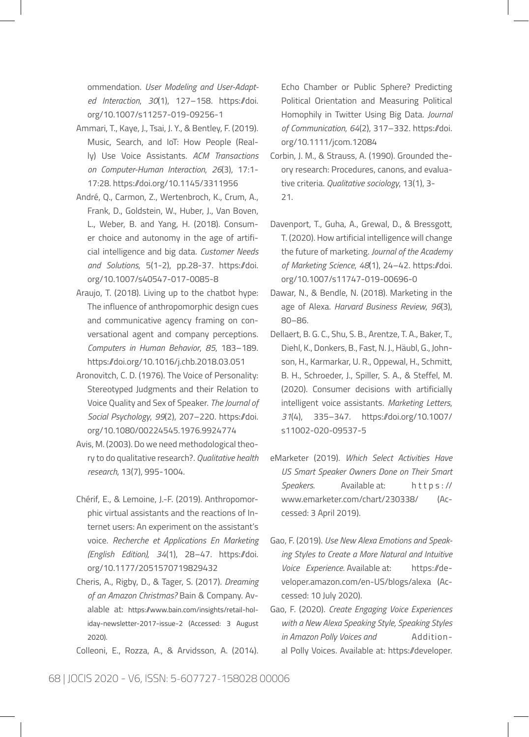ommendation. *User Modeling and User-Adapted Interaction*, *30*(1), 127–158. https://doi. org/10.1007/s11257-019-09256-1

- Ammari, T., Kaye, J., Tsai, J. Y., & Bentley, F. (2019). Music, Search, and IoT: How People (Really) Use Voice Assistants. *ACM Transactions on Computer-Human Interaction*, *26*(3), 17:1- 17:28. https://doi.org/10.1145/3311956
- André, Q., Carmon, Z., Wertenbroch, K., Crum, A., Frank, D., Goldstein, W., Huber, J., Van Boven, L., Weber, B. and Yang, H. (2018). Consumer choice and autonomy in the age of artificial intelligence and big data. *Customer Needs and Solutions*, 5(1-2), pp.28-37. https://doi. org/10.1007/s40547-017-0085-8
- Araujo, T. (2018). Living up to the chatbot hype: The influence of anthropomorphic design cues and communicative agency framing on conversational agent and company perceptions. *Computers in Human Behavior*, *85*, 183–189. https://doi.org/10.1016/j.chb.2018.03.051
- Aronovitch, C. D. (1976). The Voice of Personality: Stereotyped Judgments and their Relation to Voice Quality and Sex of Speaker. *The Journal of Social Psychology*, *99*(2), 207–220. https://doi. org/10.1080/00224545.1976.9924774
- Avis, M. (2003). Do we need methodological theory to do qualitative research?. *Qualitative health research*, 13(7), 995-1004.
- Chérif, E., & Lemoine, J.-F. (2019). Anthropomorphic virtual assistants and the reactions of Internet users: An experiment on the assistant's voice. *Recherche et Applications En Marketing (English Edition)*, *34*(1), 28–47. https://doi. org/10.1177/2051570719829432
- Cheris, A., Rigby, D., & Tager, S. (2017). *Dreaming of an Amazon Christmas?* Bain & Company. Avalable at: https://www.bain.com/insights/retail-holiday-newsletter-2017-issue-2 (Accessed: 3 August 2020).
- Colleoni, E., Rozza, A., & Arvidsson, A. (2014).

Echo Chamber or Public Sphere? Predicting Political Orientation and Measuring Political Homophily in Twitter Using Big Data. *Journal of Communication*, *64*(2), 317–332. https://doi. org/10.1111/jcom.12084

- Corbin, J. M., & Strauss, A. (1990). Grounded theory research: Procedures, canons, and evaluative criteria. *Qualitative sociology*, 13(1), 3- 21.
- Davenport, T., Guha, A., Grewal, D., & Bressgott, T. (2020). How artificial intelligence will change the future of marketing. *Journal of the Academy of Marketing Science*, *48*(1), 24–42. https://doi. org/10.1007/s11747-019-00696-0
- Dawar, N., & Bendle, N. (2018). Marketing in the age of Alexa. *Harvard Business Review*, *96*(3), 80–86.
- Dellaert, B. G. C., Shu, S. B., Arentze, T. A., Baker, T., Diehl, K., Donkers, B., Fast, N. J., Häubl, G., Johnson, H., Karmarkar, U. R., Oppewal, H., Schmitt, B. H., Schroeder, J., Spiller, S. A., & Steffel, M. (2020). Consumer decisions with artificially intelligent voice assistants. *Marketing Letters*, *31*(4), 335–347. https://doi.org/10.1007/ s11002-020-09537-5
- eMarketer (2019). *Which Select Activities Have US Smart Speaker Owners Done on Their Smart Speakers*. Available at: h t t p s : // www.emarketer.com/chart/230338/ (Accessed: 3 April 2019).
- Gao, F. (2019). *Use New Alexa Emotions and Speaking Styles to Create a More Natural and Intuitive Voice Experience*. Available at: https://developer.amazon.com/en-US/blogs/alexa (Accessed: 10 July 2020).
- Gao, F. (2020). *Create Engaging Voice Experiences with a New Alexa Speaking Style, Speaking Styles in Amazon Polly Voices and* Additional Polly Voices. Available at: https://developer.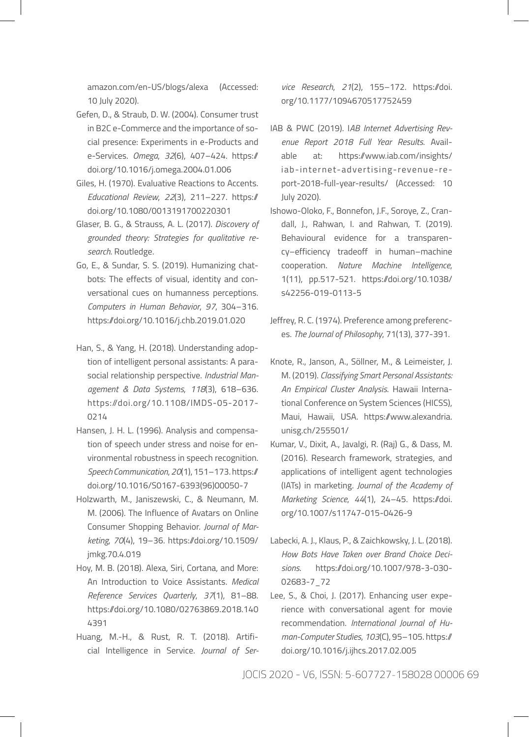amazon.com/en-US/blogs/alexa (Accessed: 10 July 2020).

- Gefen, D., & Straub, D. W. (2004). Consumer trust in B2C e-Commerce and the importance of social presence: Experiments in e-Products and e-Services. *Omega*, *32*(6), 407–424. https:// doi.org/10.1016/j.omega.2004.01.006
- Giles, H. (1970). Evaluative Reactions to Accents. *Educational Review*, *22*(3), 211–227. https:// doi.org/10.1080/0013191700220301
- Glaser, B. G., & Strauss, A. L. (2017). *Discovery of grounded theory: Strategies for qualitative research*. Routledge.
- Go, E., & Sundar, S. S. (2019). Humanizing chatbots: The effects of visual, identity and conversational cues on humanness perceptions. *Computers in Human Behavior*, *97*, 304–316. https://doi.org/10.1016/j.chb.2019.01.020
- Han, S., & Yang, H. (2018). Understanding adoption of intelligent personal assistants: A parasocial relationship perspective. *Industrial Management & Data Systems*, *118*(3), 618–636. https://doi.org/10.1108/IMDS-05-2017- 0214
- Hansen, J. H. L. (1996). Analysis and compensation of speech under stress and noise for environmental robustness in speech recognition. *Speech Communication*, *20*(1), 151–173. https:// doi.org/10.1016/S0167-6393(96)00050-7
- Holzwarth, M., Janiszewski, C., & Neumann, M. M. (2006). The Influence of Avatars on Online Consumer Shopping Behavior. *Journal of Marketing*, *70*(4), 19–36. https://doi.org/10.1509/ jmkg.70.4.019
- Hoy, M. B. (2018). Alexa, Siri, Cortana, and More: An Introduction to Voice Assistants. *Medical Reference Services Quarterly*, *37*(1), 81–88. https://doi.org/10.1080/02763869.2018.140 4391
- Huang, M.-H., & Rust, R. T. (2018). Artificial Intelligence in Service. *Journal of Ser-*

*vice Research*, *21*(2), 155–172. https://doi. org/10.1177/1094670517752459

- IAB & PWC (2019). I*AB Internet Advertising Revenue Report 2018 Full Year Results*. Available at: https://www.iab.com/insights/ iab-internet-advertising-revenue-report-2018-full-year-results/ (Accessed: 10 July 2020).
- Ishowo-Oloko, F., Bonnefon, J.F., Soroye, Z., Crandall, J., Rahwan, I. and Rahwan, T. (2019). Behavioural evidence for a transparency–efficiency tradeoff in human–machine cooperation. *Nature Machine Intelligence*, 1(11), pp.517-521. https://doi.org/10.1038/ s42256-019-0113-5
- Jeffrey, R. C. (1974). Preference among preferences. *The Journal of Philosophy*, 71(13), 377-391.
- Knote, R., Janson, A., Söllner, M., & Leimeister, J. M. (2019). *Classifying Smart Personal Assistants: An Empirical Cluster Analysis*. Hawaii International Conference on System Sciences (HICSS), Maui, Hawaii, USA. https://www.alexandria. unisg.ch/255501/
- Kumar, V., Dixit, A., Javalgi, R. (Raj) G., & Dass, M. (2016). Research framework, strategies, and applications of intelligent agent technologies (IATs) in marketing. *Journal of the Academy of Marketing Science*, *44*(1), 24–45. https://doi. org/10.1007/s11747-015-0426-9
- Labecki, A. J., Klaus, P., & Zaichkowsky, J. L. (2018). *How Bots Have Taken over Brand Choice Decisions*. https://doi.org/10.1007/978-3-030- 02683-7\_72
- Lee, S., & Choi, J. (2017). Enhancing user experience with conversational agent for movie recommendation. *International Journal of Human-Computer Studies*, *103*(C), 95–105. https:// doi.org/10.1016/j.ijhcs.2017.02.005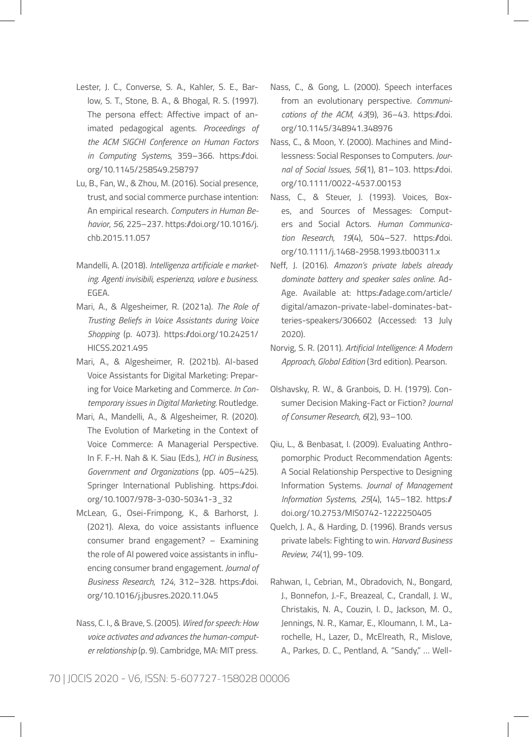- Lester, J. C., Converse, S. A., Kahler, S. E., Barlow, S. T., Stone, B. A., & Bhogal, R. S. (1997). The persona effect: Affective impact of animated pedagogical agents. *Proceedings of the ACM SIGCHI Conference on Human Factors in Computing Systems*, 359–366. https://doi. org/10.1145/258549.258797
- Lu, B., Fan, W., & Zhou, M. (2016). Social presence, trust, and social commerce purchase intention: An empirical research. *Computers in Human Behavior*, *56*, 225–237. https://doi.org/10.1016/j. chb.2015.11.057
- Mandelli, A. (2018). *Intelligenza artificiale e marketing. Agenti invisibili, esperienza, valore e business*. EGEA.
- Mari, A., & Algesheimer, R. (2021a). *The Role of Trusting Beliefs in Voice Assistants during Voice Shopping* (p. 4073). https://doi.org/10.24251/ HICSS.2021.495
- Mari, A., & Algesheimer, R. (2021b). AI-based Voice Assistants for Digital Marketing: Preparing for Voice Marketing and Commerce. *In Contemporary issues in Digital Marketing.* Routledge.
- Mari, A., Mandelli, A., & Algesheimer, R. (2020). The Evolution of Marketing in the Context of Voice Commerce: A Managerial Perspective. In F. F.-H. Nah & K. Siau (Eds.), *HCI in Business, Government and Organizations* (pp. 405–425). Springer International Publishing. https://doi. org/10.1007/978-3-030-50341-3\_32
- McLean, G., Osei-Frimpong, K., & Barhorst, J. (2021). Alexa, do voice assistants influence consumer brand engagement? – Examining the role of AI powered voice assistants in influencing consumer brand engagement. *Journal of Business Research*, *124*, 312–328. https://doi. org/10.1016/j.jbusres.2020.11.045
- Nass, C. I., & Brave, S. (2005). *Wired for speech: How voice activates and advances the human-computer relationship* (p. 9). Cambridge, MA: MIT press.
- Nass, C., & Gong, L. (2000). Speech interfaces from an evolutionary perspective. *Communications of the ACM*, *43*(9), 36–43. https://doi. org/10.1145/348941.348976
- Nass, C., & Moon, Y. (2000). Machines and Mindlessness: Social Responses to Computers. *Journal of Social Issues*, *56*(1), 81–103. https://doi. org/10.1111/0022-4537.00153
- Nass, C., & Steuer, J. (1993). Voices, Boxes, and Sources of Messages: Computers and Social Actors. *Human Communication Research*, *19*(4), 504–527. https://doi. org/10.1111/j.1468-2958.1993.tb00311.x
- Neff, J. (2016). *Amazon's private labels already dominate battery and speaker sales online*. Ad-Age. Available at: https://adage.com/article/ digital/amazon-private-label-dominates-batteries-speakers/306602 (Accessed: 13 July 2020).
- Norvig, S. R. (2011). *Artificial Intelligence: A Modern Approach, Global Edition* (3rd edition). Pearson.
- Olshavsky, R. W., & Granbois, D. H. (1979). Consumer Decision Making-Fact or Fiction? *Journal of Consumer Research*, *6*(2), 93–100.
- Qiu, L., & Benbasat, I. (2009). Evaluating Anthropomorphic Product Recommendation Agents: A Social Relationship Perspective to Designing Information Systems. *Journal of Management Information Systems*, *25*(4), 145–182. https:// doi.org/10.2753/MIS0742-1222250405
- Quelch, J. A., & Harding, D. (1996). Brands versus private labels: Fighting to win. *Harvard Business Review*, *74*(1), 99-109.
- Rahwan, I., Cebrian, M., Obradovich, N., Bongard, J., Bonnefon, J.-F., Breazeal, C., Crandall, J. W., Christakis, N. A., Couzin, I. D., Jackson, M. O., Jennings, N. R., Kamar, E., Kloumann, I. M., Larochelle, H., Lazer, D., McElreath, R., Mislove, A., Parkes, D. C., Pentland, A. "Sandy," … Well-